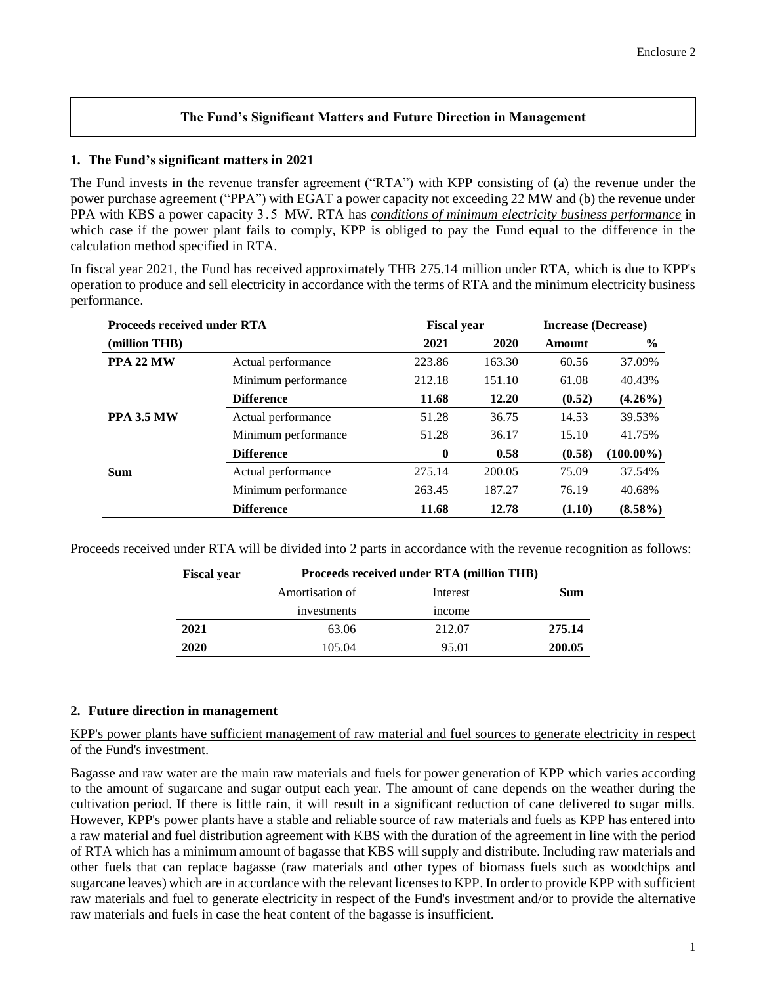## **The Fund's Significant Matters and Future Direction in Management**

## **1. The Fund's significant matters in 2021**

The Fund invests in the revenue transfer agreement ("RTA") with KPP consisting of (a) the revenue under the power purchase agreement ("PPA") with EGAT a power capacity not exceeding 22 MW and (b) the revenue under PPA with KBS a power capacity 3.5 MW. RTA has *conditions of minimum electricity business performance* in which case if the power plant fails to comply, KPP is obliged to pay the Fund equal to the difference in the calculation method specified in RTA.

In fiscal year 2021, the Fund has received approximately THB 275.14 million under RTA, which is due to KPP's operation to produce and sell electricity in accordance with the terms of RTA and the minimum electricity business performance.

| <b>Proceeds received under RTA</b> |                     | <b>Fiscal year</b> |        | <b>Increase (Decrease)</b> |               |
|------------------------------------|---------------------|--------------------|--------|----------------------------|---------------|
| (million THB)                      |                     | 2021               | 2020   | <b>Amount</b>              | $\frac{6}{9}$ |
| PPA 22 MW                          | Actual performance  | 223.86             | 163.30 | 60.56                      | 37.09%        |
|                                    | Minimum performance | 212.18             | 151.10 | 61.08                      | 40.43%        |
|                                    | <b>Difference</b>   | 11.68              | 12.20  | (0.52)                     | $(4.26\%)$    |
| <b>PPA 3.5 MW</b>                  | Actual performance  | 51.28              | 36.75  | 14.53                      | 39.53%        |
|                                    | Minimum performance | 51.28              | 36.17  | 15.10                      | 41.75%        |
|                                    | <b>Difference</b>   | $\bf{0}$           | 0.58   | (0.58)                     | $(100.00\%)$  |
| <b>Sum</b>                         | Actual performance  | 275.14             | 200.05 | 75.09                      | 37.54%        |
|                                    | Minimum performance | 263.45             | 187.27 | 76.19                      | 40.68%        |
|                                    | <b>Difference</b>   | 11.68              | 12.78  | (1.10)                     | $(8.58\%)$    |

Proceeds received under RTA will be divided into 2 parts in accordance with the revenue recognition as follows:

| <b>Fiscal year</b> | Proceeds received under RTA (million THB) |          |        |  |
|--------------------|-------------------------------------------|----------|--------|--|
|                    | Amortisation of                           | Interest | Sum    |  |
|                    | investments                               | income   |        |  |
| 2021               | 63.06                                     | 212.07   | 275.14 |  |
| 2020               | 105.04                                    | 95.01    | 200.05 |  |
|                    |                                           |          |        |  |

## **2. Future direction in management**

KPP's power plants have sufficient management of raw material and fuel sources to generate electricity in respect of the Fund's investment.

Bagasse and raw water are the main raw materials and fuels for power generation of KPP which varies according to the amount of sugarcane and sugar output each year. The amount of cane depends on the weather during the cultivation period. If there is little rain, it will result in a significant reduction of cane delivered to sugar mills. However, KPP's power plants have a stable and reliable source of raw materials and fuels as KPP has entered into a raw material and fuel distribution agreement with KBS with the duration of the agreement in line with the period of RTA which has a minimum amount of bagasse that KBS will supply and distribute. Including raw materials and other fuels that can replace bagasse (raw materials and other types of biomass fuels such as woodchips and sugarcane leaves) which are in accordance with the relevant licenses to KPP. In order to provide KPP with sufficient raw materials and fuel to generate electricity in respect of the Fund's investment and/or to provide the alternative raw materials and fuels in case the heat content of the bagasse is insufficient.